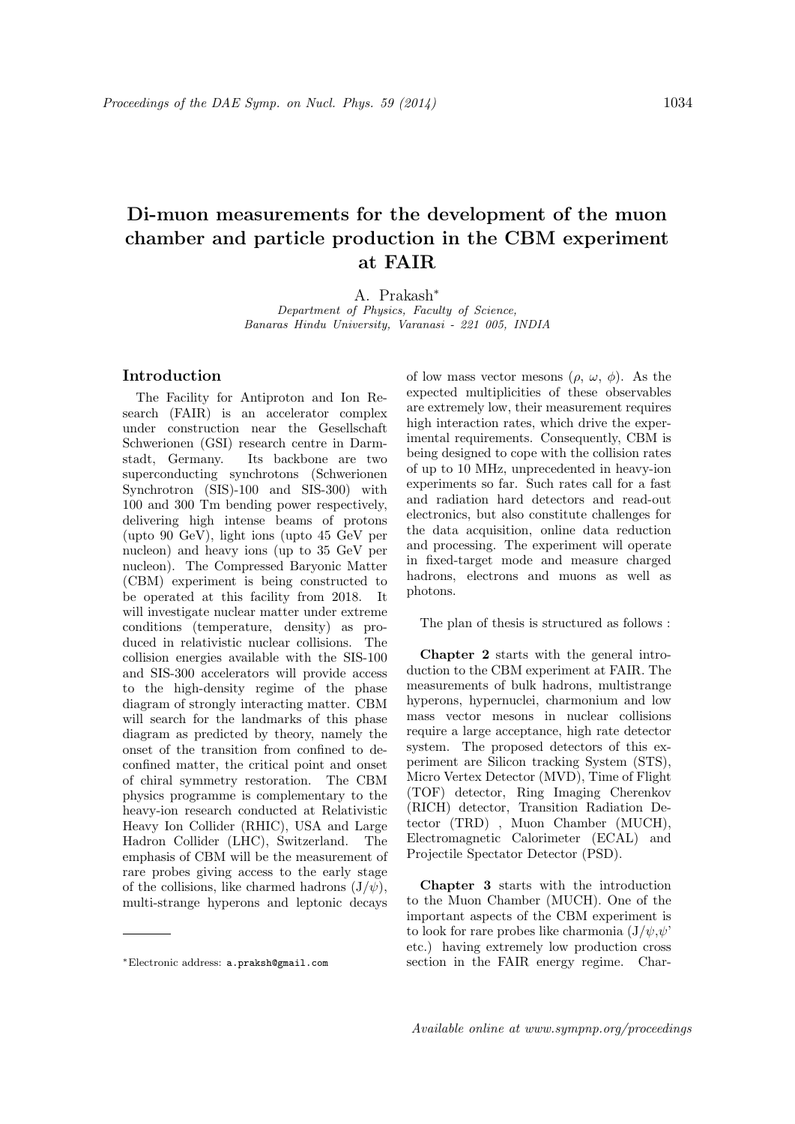## **Di-muon measurements for the development of the muon chamber and particle production in the CBM experiment at FAIR**

A. Prakash*<sup>∗</sup>*

*Department of Physics, Faculty of Science, Banaras Hindu University, Varanasi - 221 005, INDIA*

## **Introduction**

The Facility for Antiproton and Ion Research (FAIR) is an accelerator complex under construction near the Gesellschaft Schwerionen (GSI) research centre in Darmstadt, Germany. Its backbone are two superconducting synchrotons (Schwerionen Synchrotron (SIS)-100 and SIS-300) with 100 and 300 Tm bending power respectively, delivering high intense beams of protons (upto 90 GeV), light ions (upto 45 GeV per nucleon) and heavy ions (up to 35 GeV per nucleon). The Compressed Baryonic Matter (CBM) experiment is being constructed to be operated at this facility from 2018. It will investigate nuclear matter under extreme conditions (temperature, density) as produced in relativistic nuclear collisions. The collision energies available with the SIS-100 and SIS-300 accelerators will provide access to the high-density regime of the phase diagram of strongly interacting matter. CBM will search for the landmarks of this phase diagram as predicted by theory, namely the onset of the transition from confined to deconfined matter, the critical point and onset of chiral symmetry restoration. The CBM physics programme is complementary to the heavy-ion research conducted at Relativistic Heavy Ion Collider (RHIC), USA and Large Hadron Collider (LHC), Switzerland. The emphasis of CBM will be the measurement of rare probes giving access to the early stage of the collisions, like charmed hadrons  $(J/\psi)$ , multi-strange hyperons and leptonic decays of low mass vector mesons  $(\rho, \omega, \phi)$ . As the expected multiplicities of these observables are extremely low, their measurement requires high interaction rates, which drive the experimental requirements. Consequently, CBM is being designed to cope with the collision rates of up to 10 MHz, unprecedented in heavy-ion experiments so far. Such rates call for a fast and radiation hard detectors and read-out electronics, but also constitute challenges for the data acquisition, online data reduction and processing. The experiment will operate in fixed-target mode and measure charged hadrons, electrons and muons as well as photons.

The plan of thesis is structured as follows :

**Chapter 2** starts with the general introduction to the CBM experiment at FAIR. The measurements of bulk hadrons, multistrange hyperons, hypernuclei, charmonium and low mass vector mesons in nuclear collisions require a large acceptance, high rate detector system. The proposed detectors of this experiment are Silicon tracking System (STS), Micro Vertex Detector (MVD), Time of Flight (TOF) detector, Ring Imaging Cherenkov (RICH) detector, Transition Radiation Detector (TRD) , Muon Chamber (MUCH), Electromagnetic Calorimeter (ECAL) and Projectile Spectator Detector (PSD).

**Chapter 3** starts with the introduction to the Muon Chamber (MUCH). One of the important aspects of the CBM experiment is to look for rare probes like charmonia  $(J/\psi, \psi)$ etc.) having extremely low production cross section in the FAIR energy regime. Char-

*<sup>∗</sup>*Electronic address: a.praksh@gmail.com